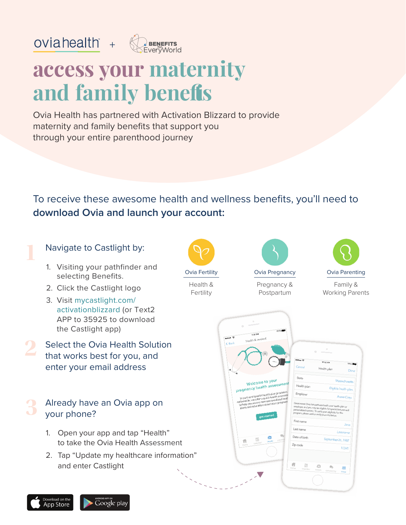

# **access your maternity and family benefis**

Ovia Health has partnered with Activation Blizzard to provide maternity and family benefits that support you through your entire parenthood journey

To receive these awesome health and wellness benefits, you'll need to **download Ovia and launch your account:**

### Navigate to Castlight by:

oviahealth  $+$ 

- 1. Visiting your pathfinder and selecting Benefits.
- 2. Click the Castlight logo
- 3. Visit mycastlight.com/ activationblizzard (or Text2 APP to 35925 to download the Castlight app)
- Select the Ovia Health Solution that works best for you, and enter your email address

#### Already have an Ovia app on your phone? **3**

- 1. Open your app and tap "Health" to take the Ovia Health Assessment
- 2. Tap "Update my healthcare information" and enter Castlight



Health & Fertility



Pregnancy & Postpartum



Family & Working Parents